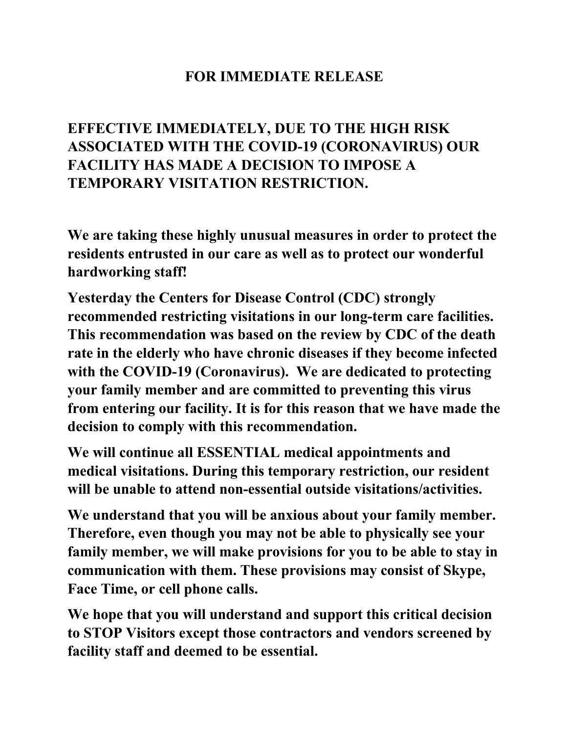## **FOR IMMEDIATE RELEASE**

## **EFFECTIVE IMMEDIATELY, DUE TO THE HIGH RISK ASSOCIATED WITH THE COVID-19 (CORONAVIRUS) OUR FACILITY HAS MADE A DECISION TO IMPOSE A TEMPORARY VISITATION RESTRICTION.**

**We are taking these highly unusual measures in order to protect the residents entrusted in our care as well as to protect our wonderful hardworking staff!**

**Yesterday the Centers for Disease Control (CDC) strongly recommended restricting visitations in our long-term care facilities. This recommendation was based on the review by CDC of the death rate in the elderly who have chronic diseases if they become infected with the COVID-19 (Coronavirus). We are dedicated to protecting your family member and are committed to preventing this virus from entering our facility. It is for this reason that we have made the decision to comply with this recommendation.** 

**We will continue all ESSENTIAL medical appointments and medical visitations. During this temporary restriction, our resident will be unable to attend non-essential outside visitations/activities.** 

**We understand that you will be anxious about your family member. Therefore, even though you may not be able to physically see your family member, we will make provisions for you to be able to stay in communication with them. These provisions may consist of Skype, Face Time, or cell phone calls.** 

**We hope that you will understand and support this critical decision to STOP Visitors except those contractors and vendors screened by facility staff and deemed to be essential.**